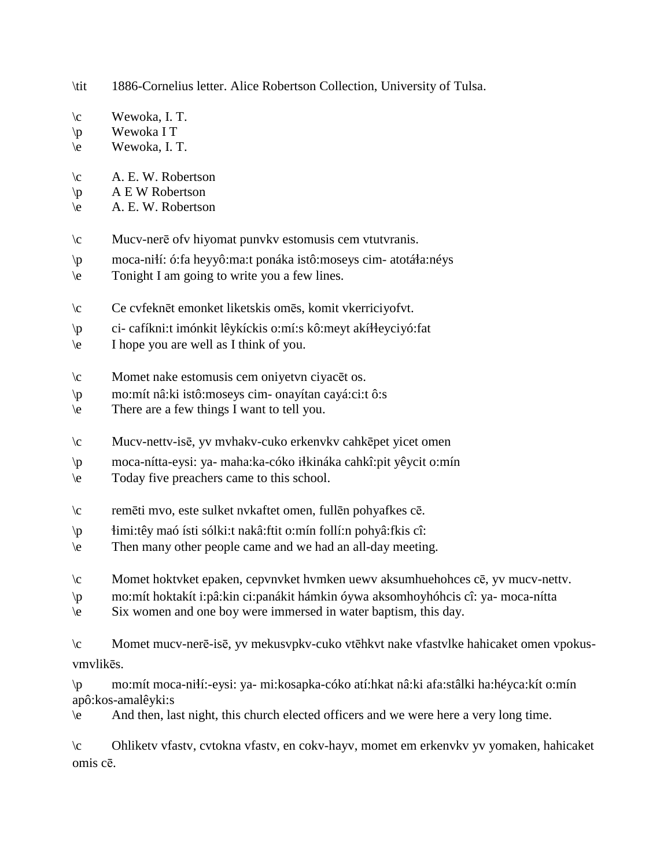- \tit 1886-Cornelius letter. Alice Robertson Collection, University of Tulsa.
- \c Wewoka, I. T.
- \p Wewoka I T
- \e Wewoka, I. T.
- $\c A. E. W. Robertson$
- $\pmb{\varphi}$  A E W Robertson
- \e A. E. W. Robertson
- \c Mucv-nerē ofv hiyomat punvkv estomusis cem vtutvranis.
- \p moca-ni!í: ó:fa heyyô:ma:t ponáka istô:moseys cim- atotá!a:néys
- \e Tonight I am going to write you a few lines.
- \c Ce cvfeknēt emonket liketskis omēs, komit vkerriciyofvt.
- \p ci- cafíkni:t imónkit lêykíckis o:mí:s kô:meyt akí!!eyciyó:fat
- \e I hope you are well as I think of you.
- \c Momet nake estomusis cem oniyetvn ciyacēt os.
- \p mo:mít nâ:ki istô:moseys cim- onayítan cayá:ci:t ô:s
- \e There are a few things I want to tell you.
- \c Mucv-nettv-isē, yv mvhakv-cuko erkenvkv cahkēpet yicet omen
- \p moca-nítta-eysi: ya- maha:ka-cóko i!kináka cahkî:pit yêycit o:mín
- \e Today five preachers came to this school.
- \c remēti mvo, este sulket nvkaftet omen, fullēn pohyafkes cē.
- \p !imi:têy maó ísti sólki:t nakâ:ftit o:mín follí:n pohyâ:fkis cî:
- \e Then many other people came and we had an all-day meeting.
- \c Momet hoktvket epaken, cepvnvket hvmken uewv aksumhuehohces cē, yv mucv-nettv.
- \p mo:mít hoktakít i:pâ:kin ci:panákit hámkin óywa aksomhoyhóhcis cî: ya- moca-nítta
- \e Six women and one boy were immersed in water baptism, this day.
- \c Momet mucv-nerē-isē, yv mekusvpkv-cuko vtēhkvt nake vfastvlke hahicaket omen vpokusvmvlikēs.

\p mo:mít moca-ni!í:-eysi: ya- mi:kosapka-cóko atí:hkat nâ:ki afa:stâlki ha:héyca:kít o:mín apô:kos-amalêyki:s

\e And then, last night, this church elected officers and we were here a very long time.

\c Ohliketv vfastv, cvtokna vfastv, en cokv-hayv, momet em erkenvkv yv yomaken, hahicaket omis cē.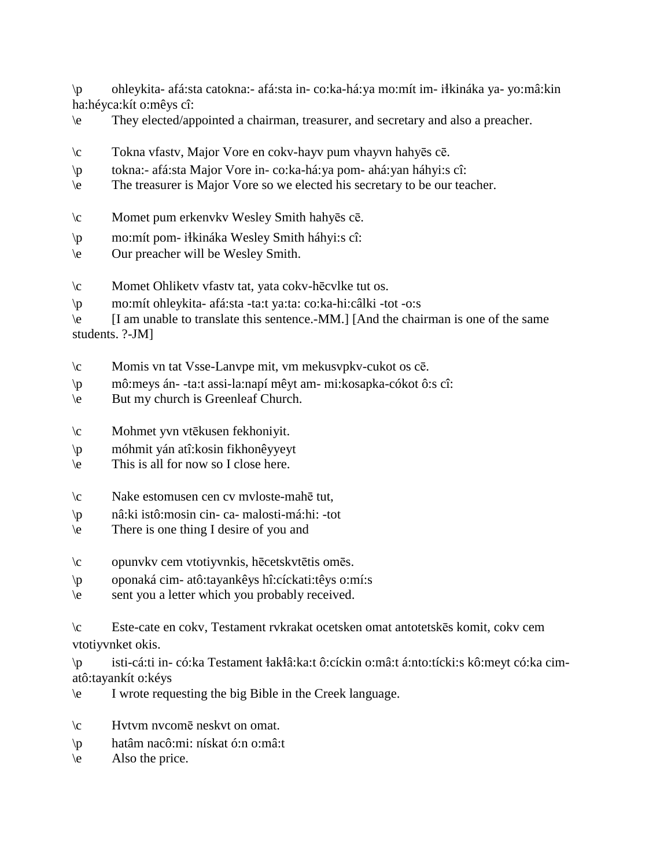\p ohleykita- afá:sta catokna:- afá:sta in- co:ka-há:ya mo:mít im- i!kináka ya- yo:mâ:kin ha:héyca:kít o:mêys cî:

- \e They elected/appointed a chairman, treasurer, and secretary and also a preacher.
- \c Tokna vfastv, Major Vore en cokv-hayv pum vhayvn hahyēs cē.
- \p tokna:- afá:sta Major Vore in- co:ka-há:ya pom- ahá:yan háhyi:s cî:
- \e The treasurer is Major Vore so we elected his secretary to be our teacher.
- \c Momet pum erkenvkv Wesley Smith hahyēs cē.
- \p mo:mít pom- i!kináka Wesley Smith háhyi:s cî:
- \e Our preacher will be Wesley Smith.
- \c Momet Ohliketv vfastv tat, yata cokv-hēcvlke tut os.
- \p mo:mít ohleykita- afá:sta -ta:t ya:ta: co:ka-hi:câlki -tot -o:s

\e [I am unable to translate this sentence.-MM.] [And the chairman is one of the same students. ?-JM]

- \c Momis vn tat Vsse-Lanvpe mit, vm mekusvpkv-cukot os cē.
- \p mô:meys án- -ta:t assi-la:napí mêyt am- mi:kosapka-cókot ô:s cî:
- \e But my church is Greenleaf Church.
- \c Mohmet yvn vtēkusen fekhoniyit.
- \p móhmit yán atî:kosin fikhonêyyeyt
- \e This is all for now so I close here.
- \c Nake estomusen cen cv mvloste-mahē tut,
- \p nâ:ki istô:mosin cin- ca- malosti-má:hi: -tot
- \e There is one thing I desire of you and
- \c opunvkv cem vtotiyvnkis, hēcetskvtētis omēs.
- \p oponaká cim- atô:tayankêys hî:cíckati:têys o:mí:s
- \e sent you a letter which you probably received.

\c Este-cate en cokv, Testament rvkrakat ocetsken omat antotetskēs komit, cokv cem vtotiyvnket okis.

\p isti-cá:ti in- có:ka Testament !ak!â:ka:t ô:cíckin o:mâ:t á:nto:tícki:s kô:meyt có:ka cimatô:tayankít o:kéys

\e I wrote requesting the big Bible in the Creek language.

- \c Hvtvm nvcomē neskvt on omat.
- \p hatâm nacô:mi: nískat ó:n o:mâ:t
- $\le$  Also the price.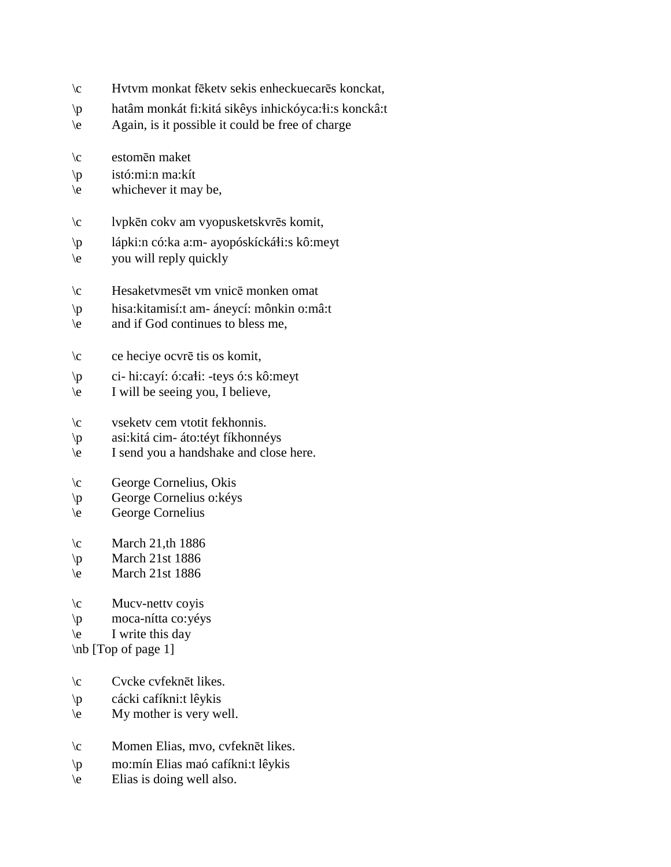- \c Hvtvm monkat fēketv sekis enheckuecarēs konckat,
- \p hatâm monkát fi:kitá sikêys inhickóyca:!i:s konckâ:t
- \e Again, is it possible it could be free of charge
- \c estomēn maket
- \p istó:mi:n ma:kít
- $\leq$  whichever it may be,
- \c lvpkēn cokv am vyopusketskvrēs komit,
- $\pi$  lápki:n có:ka a:m- ayopóskícká $\pi$ i:s kô:meyt
- \e you will reply quickly
- \c Hesaketvmesēt vm vnicē monken omat
- \p hisa:kitamisí:t am- áneycí: mônkin o:mâ:t
- \e and if God continues to bless me,
- \c ce heciye ocvrē tis os komit,
- $\pi$  ci- hi:cayí: ó:ca $\pi$ i: -teys ó:s kô:meyt
- \e I will be seeing you, I believe,
- \c vseketv cem vtotit fekhonnis.
- \p asi:kitá cim- áto:téyt fíkhonnéys
- \e I send you a handshake and close here.
- \c George Cornelius, Okis
- \p George Cornelius o:kéys
- \e George Cornelius
- $\c$  March 21,th 1886
- $\pi$  March 21st 1886
- \e March 21st 1886
- $\c$  Mucv-netty coyis
- \p moca-nítta co:yéys
- $\leq$  I write this day

\nb [Top of page 1]

- \c Cvcke cvfeknēt likes.
- \p cácki cafíkni:t lêykis
- \e My mother is very well.
- \c Momen Elias, mvo, cvfeknēt likes.
- \p mo:mín Elias maó cafíkni:t lêykis
- \e Elias is doing well also.